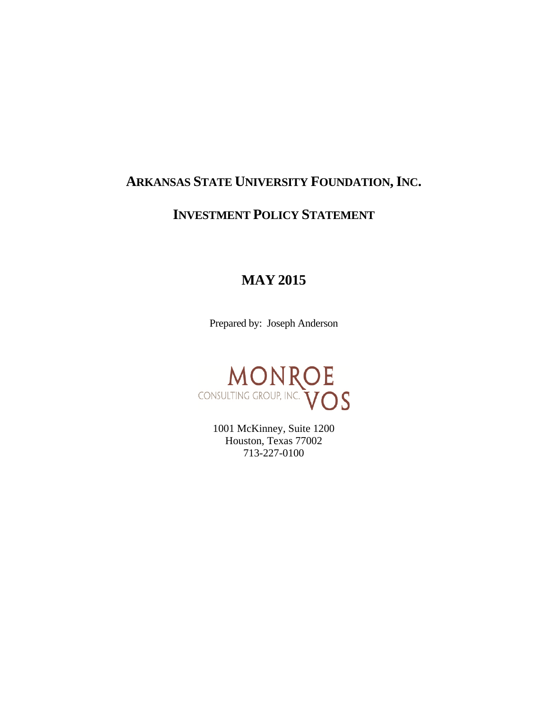# **ARKANSAS STATE UNIVERSITY FOUNDATION, INC.**

# **INVESTMENT POLICY STATEMENT**

# **MAY 2015**

Prepared by: Joseph Anderson



1001 McKinney, Suite 1200 Houston, Texas 77002 713-227-0100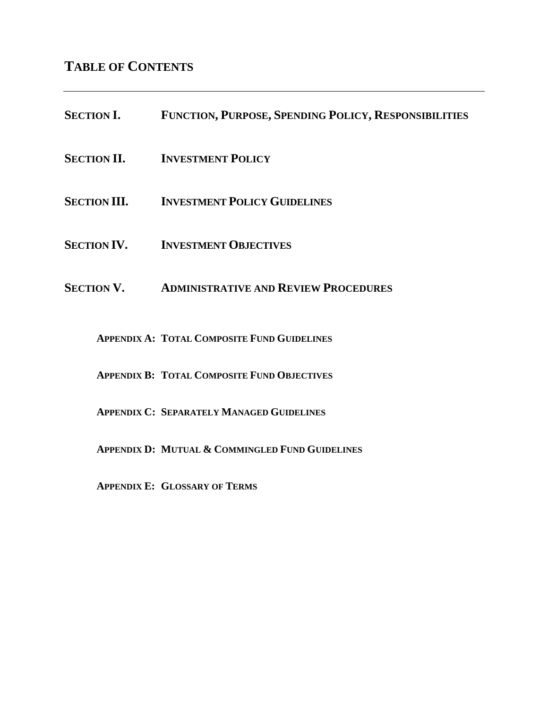**TABLE OF CONTENTS**

| <b>SECTION I.</b>   | FUNCTION, PURPOSE, SPENDING POLICY, RESPONSIBILITIES |
|---------------------|------------------------------------------------------|
| <b>SECTION II.</b>  | <b>INVESTMENT POLICY</b>                             |
| <b>SECTION III.</b> | <b>INVESTMENT POLICY GUIDELINES</b>                  |
| <b>SECTION IV.</b>  | <b>INVESTMENT OBJECTIVES</b>                         |
| <b>SECTION V.</b>   | <b>ADMINISTRATIVE AND REVIEW PROCEDURES</b>          |
|                     | <b>APPENDIX A: TOTAL COMPOSITE FUND GUIDELINES</b>   |
|                     | <b>APPENDIX B: TOTAL COMPOSITE FUND OBJECTIVES</b>   |

**APPENDIX C: SEPARATELY MANAGED GUIDELINES**

**APPENDIX D: MUTUAL & COMMINGLED FUND GUIDELINES**

**APPENDIX E: GLOSSARY OF TERMS**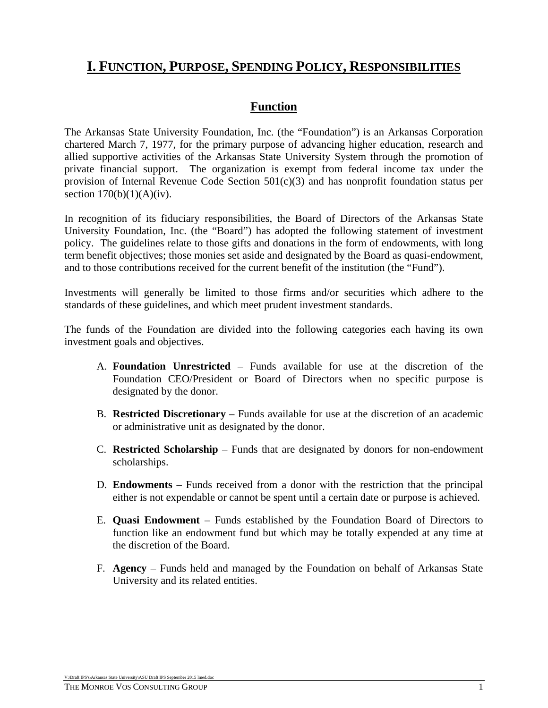# **I. FUNCTION, PURPOSE, SPENDING POLICY, RESPONSIBILITIES**

# **Function**

The Arkansas State University Foundation, Inc. (the "Foundation") is an Arkansas Corporation chartered March 7, 1977, for the primary purpose of advancing higher education, research and allied supportive activities of the Arkansas State University System through the promotion of private financial support. The organization is exempt from federal income tax under the provision of Internal Revenue Code Section 501(c)(3) and has nonprofit foundation status per section  $170(b)(1)(A)(iv)$ .

In recognition of its fiduciary responsibilities, the Board of Directors of the Arkansas State University Foundation, Inc. (the "Board") has adopted the following statement of investment policy. The guidelines relate to those gifts and donations in the form of endowments, with long term benefit objectives; those monies set aside and designated by the Board as quasi-endowment, and to those contributions received for the current benefit of the institution (the "Fund").

Investments will generally be limited to those firms and/or securities which adhere to the standards of these guidelines, and which meet prudent investment standards.

The funds of the Foundation are divided into the following categories each having its own investment goals and objectives.

- A. **Foundation Unrestricted** Funds available for use at the discretion of the Foundation CEO/President or Board of Directors when no specific purpose is designated by the donor.
- B. **Restricted Discretionary** Funds available for use at the discretion of an academic or administrative unit as designated by the donor.
- C. **Restricted Scholarship**  Funds that are designated by donors for non-endowment scholarships.
- D. **Endowments**  Funds received from a donor with the restriction that the principal either is not expendable or cannot be spent until a certain date or purpose is achieved.
- E. **Quasi Endowment**  Funds established by the Foundation Board of Directors to function like an endowment fund but which may be totally expended at any time at the discretion of the Board.
- F. **Agency**  Funds held and managed by the Foundation on behalf of Arkansas State University and its related entities.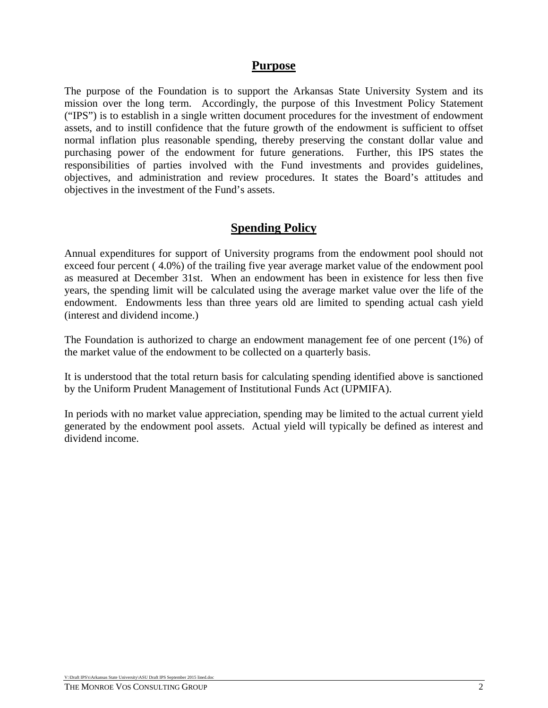#### **Purpose**

The purpose of the Foundation is to support the Arkansas State University System and its mission over the long term. Accordingly, the purpose of this Investment Policy Statement ("IPS") is to establish in a single written document procedures for the investment of endowment assets, and to instill confidence that the future growth of the endowment is sufficient to offset normal inflation plus reasonable spending, thereby preserving the constant dollar value and purchasing power of the endowment for future generations. Further, this IPS states the responsibilities of parties involved with the Fund investments and provides guidelines, objectives, and administration and review procedures. It states the Board's attitudes and objectives in the investment of the Fund's assets.

#### **Spending Policy**

Annual expenditures for support of University programs from the endowment pool should not exceed four percent ( 4.0%) of the trailing five year average market value of the endowment pool as measured at December 31st. When an endowment has been in existence for less then five years, the spending limit will be calculated using the average market value over the life of the endowment. Endowments less than three years old are limited to spending actual cash yield (interest and dividend income.)

The Foundation is authorized to charge an endowment management fee of one percent (1%) of the market value of the endowment to be collected on a quarterly basis.

It is understood that the total return basis for calculating spending identified above is sanctioned by the Uniform Prudent Management of Institutional Funds Act (UPMIFA).

In periods with no market value appreciation, spending may be limited to the actual current yield generated by the endowment pool assets. Actual yield will typically be defined as interest and dividend income.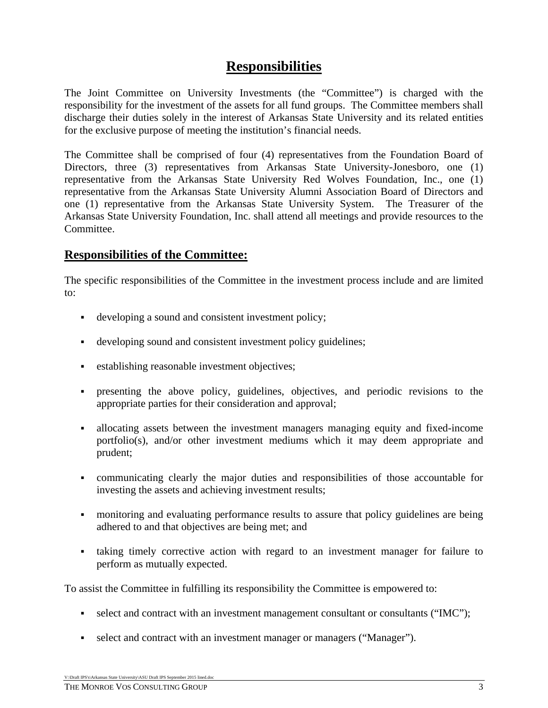# **Responsibilities**

The Joint Committee on University Investments (the "Committee") is charged with the responsibility for the investment of the assets for all fund groups. The Committee members shall discharge their duties solely in the interest of Arkansas State University and its related entities for the exclusive purpose of meeting the institution's financial needs.

The Committee shall be comprised of four (4) representatives from the Foundation Board of Directors, three (3) representatives from Arkansas State University-Jonesboro, one (1) representative from the Arkansas State University Red Wolves Foundation, Inc., one (1) representative from the Arkansas State University Alumni Association Board of Directors and one (1) representative from the Arkansas State University System. The Treasurer of the Arkansas State University Foundation, Inc. shall attend all meetings and provide resources to the Committee.

## **Responsibilities of the Committee:**

The specific responsibilities of the Committee in the investment process include and are limited to:

- developing a sound and consistent investment policy;
- developing sound and consistent investment policy guidelines;
- establishing reasonable investment objectives;
- presenting the above policy, guidelines, objectives, and periodic revisions to the appropriate parties for their consideration and approval;
- allocating assets between the investment managers managing equity and fixed-income portfolio(s), and/or other investment mediums which it may deem appropriate and prudent;
- communicating clearly the major duties and responsibilities of those accountable for investing the assets and achieving investment results;
- monitoring and evaluating performance results to assure that policy guidelines are being adhered to and that objectives are being met; and
- taking timely corrective action with regard to an investment manager for failure to perform as mutually expected.

To assist the Committee in fulfilling its responsibility the Committee is empowered to:

- select and contract with an investment management consultant or consultants ("IMC");
- select and contract with an investment manager or managers ("Manager").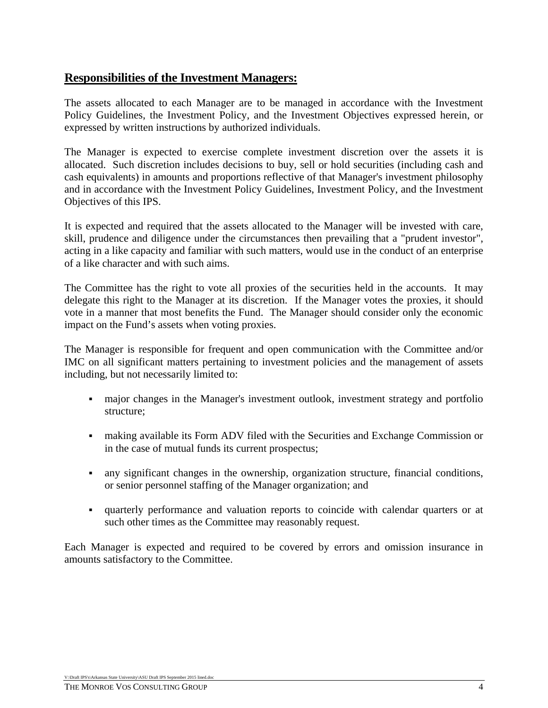### **Responsibilities of the Investment Managers:**

The assets allocated to each Manager are to be managed in accordance with the Investment Policy Guidelines, the Investment Policy, and the Investment Objectives expressed herein, or expressed by written instructions by authorized individuals.

The Manager is expected to exercise complete investment discretion over the assets it is allocated. Such discretion includes decisions to buy, sell or hold securities (including cash and cash equivalents) in amounts and proportions reflective of that Manager's investment philosophy and in accordance with the Investment Policy Guidelines, Investment Policy, and the Investment Objectives of this IPS.

It is expected and required that the assets allocated to the Manager will be invested with care, skill, prudence and diligence under the circumstances then prevailing that a "prudent investor", acting in a like capacity and familiar with such matters, would use in the conduct of an enterprise of a like character and with such aims.

The Committee has the right to vote all proxies of the securities held in the accounts. It may delegate this right to the Manager at its discretion. If the Manager votes the proxies, it should vote in a manner that most benefits the Fund. The Manager should consider only the economic impact on the Fund's assets when voting proxies.

The Manager is responsible for frequent and open communication with the Committee and/or IMC on all significant matters pertaining to investment policies and the management of assets including, but not necessarily limited to:

- major changes in the Manager's investment outlook, investment strategy and portfolio structure;
- making available its Form ADV filed with the Securities and Exchange Commission or in the case of mutual funds its current prospectus;
- any significant changes in the ownership, organization structure, financial conditions, or senior personnel staffing of the Manager organization; and
- quarterly performance and valuation reports to coincide with calendar quarters or at such other times as the Committee may reasonably request.

Each Manager is expected and required to be covered by errors and omission insurance in amounts satisfactory to the Committee.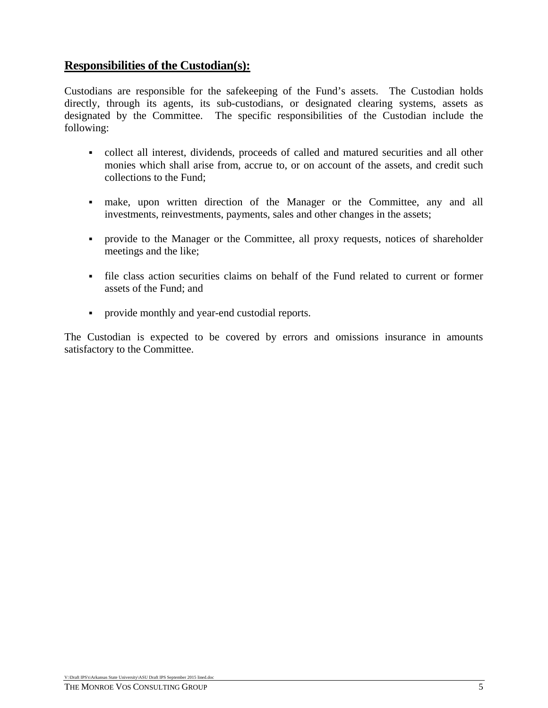### **Responsibilities of the Custodian(s):**

Custodians are responsible for the safekeeping of the Fund's assets. The Custodian holds directly, through its agents, its sub-custodians, or designated clearing systems, assets as designated by the Committee. The specific responsibilities of the Custodian include the following:

- collect all interest, dividends, proceeds of called and matured securities and all other monies which shall arise from, accrue to, or on account of the assets, and credit such collections to the Fund;
- make, upon written direction of the Manager or the Committee, any and all investments, reinvestments, payments, sales and other changes in the assets;
- provide to the Manager or the Committee, all proxy requests, notices of shareholder meetings and the like;
- file class action securities claims on behalf of the Fund related to current or former assets of the Fund; and
- provide monthly and year-end custodial reports.

The Custodian is expected to be covered by errors and omissions insurance in amounts satisfactory to the Committee.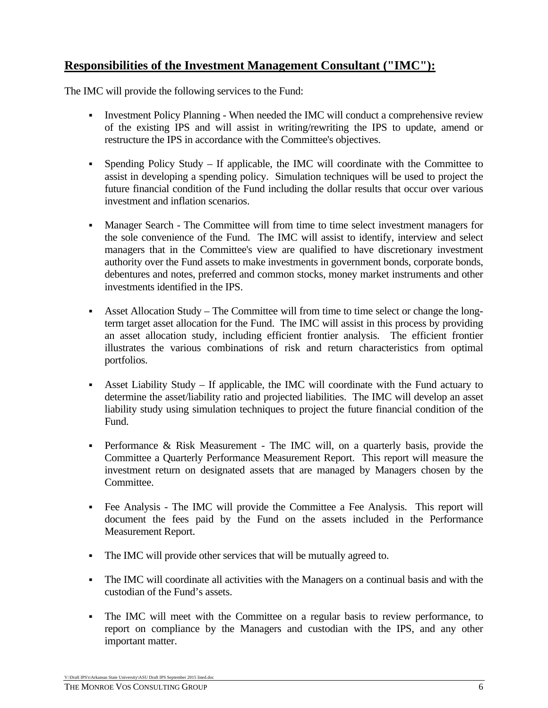# **Responsibilities of the Investment Management Consultant ("IMC"):**

The IMC will provide the following services to the Fund:

- Investment Policy Planning When needed the IMC will conduct a comprehensive review of the existing IPS and will assist in writing/rewriting the IPS to update, amend or restructure the IPS in accordance with the Committee's objectives.
- Spending Policy Study If applicable, the IMC will coordinate with the Committee to assist in developing a spending policy. Simulation techniques will be used to project the future financial condition of the Fund including the dollar results that occur over various investment and inflation scenarios.
- Manager Search The Committee will from time to time select investment managers for the sole convenience of the Fund. The IMC will assist to identify, interview and select managers that in the Committee's view are qualified to have discretionary investment authority over the Fund assets to make investments in government bonds, corporate bonds, debentures and notes, preferred and common stocks, money market instruments and other investments identified in the IPS.
- Asset Allocation Study The Committee will from time to time select or change the longterm target asset allocation for the Fund. The IMC will assist in this process by providing an asset allocation study, including efficient frontier analysis. The efficient frontier illustrates the various combinations of risk and return characteristics from optimal portfolios.
- Asset Liability Study If applicable, the IMC will coordinate with the Fund actuary to determine the asset/liability ratio and projected liabilities. The IMC will develop an asset liability study using simulation techniques to project the future financial condition of the Fund.
- Performance & Risk Measurement The IMC will, on a quarterly basis, provide the Committee a Quarterly Performance Measurement Report. This report will measure the investment return on designated assets that are managed by Managers chosen by the Committee.
- Fee Analysis The IMC will provide the Committee a Fee Analysis. This report will document the fees paid by the Fund on the assets included in the Performance Measurement Report.
- The IMC will provide other services that will be mutually agreed to.
- The IMC will coordinate all activities with the Managers on a continual basis and with the custodian of the Fund's assets.
- The IMC will meet with the Committee on a regular basis to review performance, to report on compliance by the Managers and custodian with the IPS, and any other important matter.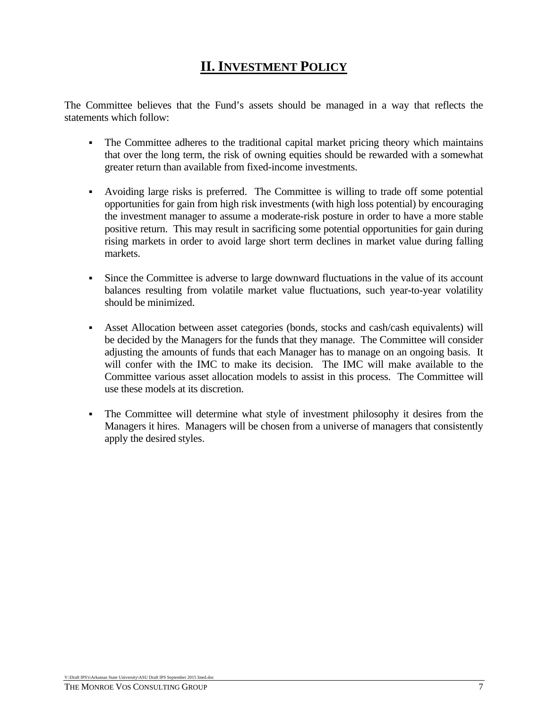# **II. INVESTMENT POLICY**

The Committee believes that the Fund's assets should be managed in a way that reflects the statements which follow:

- The Committee adheres to the traditional capital market pricing theory which maintains that over the long term, the risk of owning equities should be rewarded with a somewhat greater return than available from fixed-income investments.
- Avoiding large risks is preferred. The Committee is willing to trade off some potential opportunities for gain from high risk investments (with high loss potential) by encouraging the investment manager to assume a moderate-risk posture in order to have a more stable positive return. This may result in sacrificing some potential opportunities for gain during rising markets in order to avoid large short term declines in market value during falling markets.
- Since the Committee is adverse to large downward fluctuations in the value of its account balances resulting from volatile market value fluctuations, such year-to-year volatility should be minimized.
- Asset Allocation between asset categories (bonds, stocks and cash/cash equivalents) will be decided by the Managers for the funds that they manage. The Committee will consider adjusting the amounts of funds that each Manager has to manage on an ongoing basis. It will confer with the IMC to make its decision. The IMC will make available to the Committee various asset allocation models to assist in this process. The Committee will use these models at its discretion.
- The Committee will determine what style of investment philosophy it desires from the Managers it hires. Managers will be chosen from a universe of managers that consistently apply the desired styles.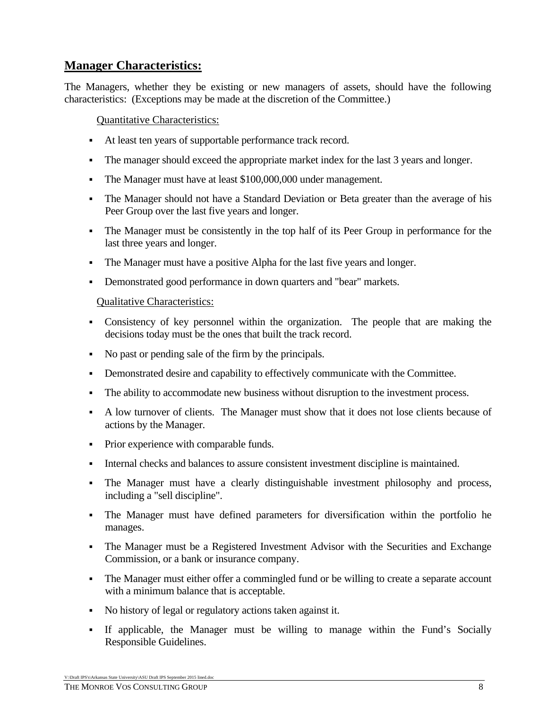## **Manager Characteristics:**

The Managers, whether they be existing or new managers of assets, should have the following characteristics: (Exceptions may be made at the discretion of the Committee.)

Quantitative Characteristics:

- At least ten years of supportable performance track record.
- The manager should exceed the appropriate market index for the last 3 years and longer.
- The Manager must have at least \$100,000,000 under management.
- The Manager should not have a Standard Deviation or Beta greater than the average of his Peer Group over the last five years and longer.
- The Manager must be consistently in the top half of its Peer Group in performance for the last three years and longer.
- The Manager must have a positive Alpha for the last five years and longer.
- Demonstrated good performance in down quarters and "bear" markets.

Qualitative Characteristics:

- Consistency of key personnel within the organization. The people that are making the decisions today must be the ones that built the track record.
- No past or pending sale of the firm by the principals.
- Demonstrated desire and capability to effectively communicate with the Committee.
- The ability to accommodate new business without disruption to the investment process.
- A low turnover of clients. The Manager must show that it does not lose clients because of actions by the Manager.
- Prior experience with comparable funds.
- Internal checks and balances to assure consistent investment discipline is maintained.
- The Manager must have a clearly distinguishable investment philosophy and process, including a "sell discipline".
- The Manager must have defined parameters for diversification within the portfolio he manages.
- The Manager must be a Registered Investment Advisor with the Securities and Exchange Commission, or a bank or insurance company.
- The Manager must either offer a commingled fund or be willing to create a separate account with a minimum balance that is acceptable.
- No history of legal or regulatory actions taken against it.
- If applicable, the Manager must be willing to manage within the Fund's Socially Responsible Guidelines.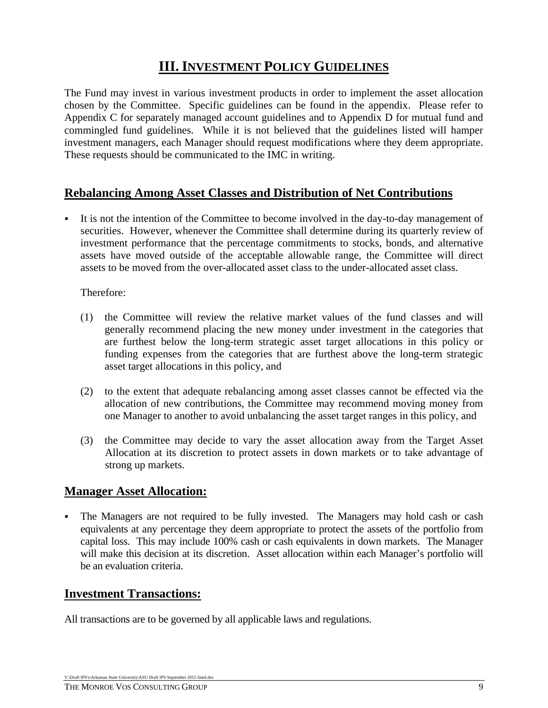# **III. INVESTMENT POLICY GUIDELINES**

The Fund may invest in various investment products in order to implement the asset allocation chosen by the Committee. Specific guidelines can be found in the appendix. Please refer to Appendix C for separately managed account guidelines and to Appendix D for mutual fund and commingled fund guidelines. While it is not believed that the guidelines listed will hamper investment managers, each Manager should request modifications where they deem appropriate. These requests should be communicated to the IMC in writing.

## **Rebalancing Among Asset Classes and Distribution of Net Contributions**

 It is not the intention of the Committee to become involved in the day-to-day management of securities. However, whenever the Committee shall determine during its quarterly review of investment performance that the percentage commitments to stocks, bonds, and alternative assets have moved outside of the acceptable allowable range, the Committee will direct assets to be moved from the over-allocated asset class to the under-allocated asset class.

#### Therefore:

- (1) the Committee will review the relative market values of the fund classes and will generally recommend placing the new money under investment in the categories that are furthest below the long-term strategic asset target allocations in this policy or funding expenses from the categories that are furthest above the long-term strategic asset target allocations in this policy, and
- (2) to the extent that adequate rebalancing among asset classes cannot be effected via the allocation of new contributions, the Committee may recommend moving money from one Manager to another to avoid unbalancing the asset target ranges in this policy, and
- (3) the Committee may decide to vary the asset allocation away from the Target Asset Allocation at its discretion to protect assets in down markets or to take advantage of strong up markets.

#### **Manager Asset Allocation:**

 The Managers are not required to be fully invested. The Managers may hold cash or cash equivalents at any percentage they deem appropriate to protect the assets of the portfolio from capital loss. This may include 100% cash or cash equivalents in down markets. The Manager will make this decision at its discretion. Asset allocation within each Manager's portfolio will be an evaluation criteria.

### **Investment Transactions:**

All transactions are to be governed by all applicable laws and regulations.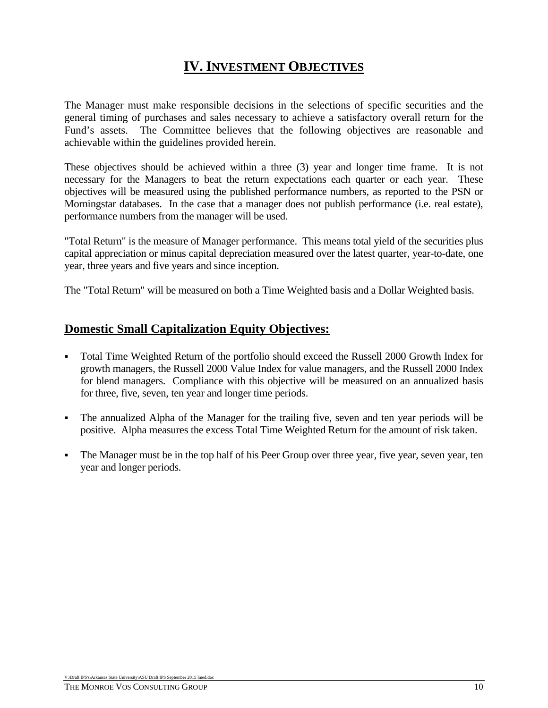# **IV. INVESTMENT OBJECTIVES**

The Manager must make responsible decisions in the selections of specific securities and the general timing of purchases and sales necessary to achieve a satisfactory overall return for the Fund's assets. The Committee believes that the following objectives are reasonable and achievable within the guidelines provided herein.

These objectives should be achieved within a three (3) year and longer time frame. It is not necessary for the Managers to beat the return expectations each quarter or each year. These objectives will be measured using the published performance numbers, as reported to the PSN or Morningstar databases. In the case that a manager does not publish performance (i.e. real estate), performance numbers from the manager will be used.

"Total Return" is the measure of Manager performance. This means total yield of the securities plus capital appreciation or minus capital depreciation measured over the latest quarter, year-to-date, one year, three years and five years and since inception.

The "Total Return" will be measured on both a Time Weighted basis and a Dollar Weighted basis.

## **Domestic Small Capitalization Equity Objectives:**

- Total Time Weighted Return of the portfolio should exceed the Russell 2000 Growth Index for growth managers, the Russell 2000 Value Index for value managers, and the Russell 2000 Index for blend managers. Compliance with this objective will be measured on an annualized basis for three, five, seven, ten year and longer time periods.
- The annualized Alpha of the Manager for the trailing five, seven and ten year periods will be positive. Alpha measures the excess Total Time Weighted Return for the amount of risk taken.
- The Manager must be in the top half of his Peer Group over three year, five year, seven year, ten year and longer periods.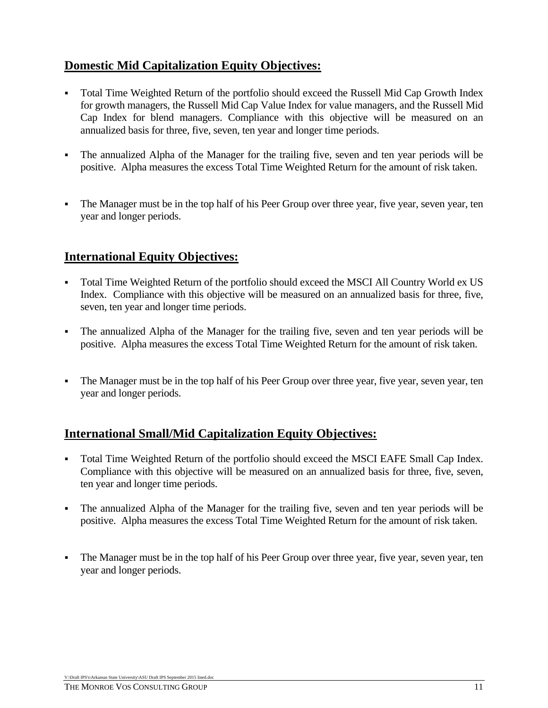# **Domestic Mid Capitalization Equity Objectives:**

- Total Time Weighted Return of the portfolio should exceed the Russell Mid Cap Growth Index for growth managers, the Russell Mid Cap Value Index for value managers, and the Russell Mid Cap Index for blend managers. Compliance with this objective will be measured on an annualized basis for three, five, seven, ten year and longer time periods.
- The annualized Alpha of the Manager for the trailing five, seven and ten year periods will be positive. Alpha measures the excess Total Time Weighted Return for the amount of risk taken.
- The Manager must be in the top half of his Peer Group over three year, five year, seven year, ten year and longer periods.

## **International Equity Objectives:**

- Total Time Weighted Return of the portfolio should exceed the MSCI All Country World ex US Index. Compliance with this objective will be measured on an annualized basis for three, five, seven, ten year and longer time periods.
- The annualized Alpha of the Manager for the trailing five, seven and ten year periods will be positive. Alpha measures the excess Total Time Weighted Return for the amount of risk taken.
- The Manager must be in the top half of his Peer Group over three year, five year, seven year, ten year and longer periods.

### **International Small/Mid Capitalization Equity Objectives:**

- Total Time Weighted Return of the portfolio should exceed the MSCI EAFE Small Cap Index. Compliance with this objective will be measured on an annualized basis for three, five, seven, ten year and longer time periods.
- The annualized Alpha of the Manager for the trailing five, seven and ten year periods will be positive. Alpha measures the excess Total Time Weighted Return for the amount of risk taken.
- The Manager must be in the top half of his Peer Group over three year, five year, seven year, ten year and longer periods.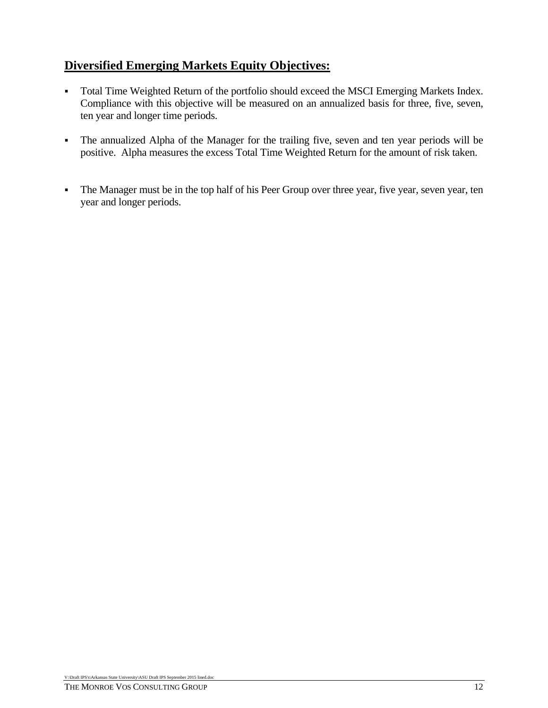# **Diversified Emerging Markets Equity Objectives:**

- Total Time Weighted Return of the portfolio should exceed the MSCI Emerging Markets Index. Compliance with this objective will be measured on an annualized basis for three, five, seven, ten year and longer time periods.
- The annualized Alpha of the Manager for the trailing five, seven and ten year periods will be positive. Alpha measures the excess Total Time Weighted Return for the amount of risk taken.
- The Manager must be in the top half of his Peer Group over three year, five year, seven year, ten year and longer periods.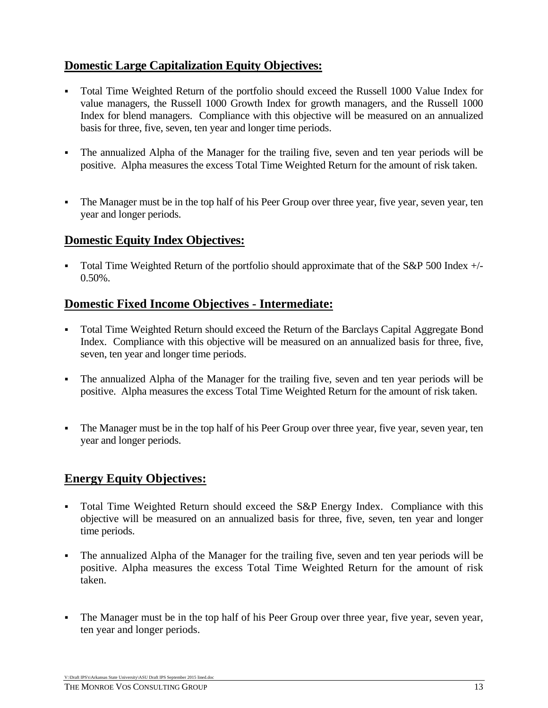# **Domestic Large Capitalization Equity Objectives:**

- Total Time Weighted Return of the portfolio should exceed the Russell 1000 Value Index for value managers, the Russell 1000 Growth Index for growth managers, and the Russell 1000 Index for blend managers. Compliance with this objective will be measured on an annualized basis for three, five, seven, ten year and longer time periods.
- The annualized Alpha of the Manager for the trailing five, seven and ten year periods will be positive. Alpha measures the excess Total Time Weighted Return for the amount of risk taken.
- The Manager must be in the top half of his Peer Group over three year, five year, seven year, ten year and longer periods.

### **Domestic Equity Index Objectives:**

 Total Time Weighted Return of the portfolio should approximate that of the S&P 500 Index +/- 0.50%.

#### **Domestic Fixed Income Objectives - Intermediate:**

- Total Time Weighted Return should exceed the Return of the Barclays Capital Aggregate Bond Index. Compliance with this objective will be measured on an annualized basis for three, five, seven, ten year and longer time periods.
- The annualized Alpha of the Manager for the trailing five, seven and ten year periods will be positive. Alpha measures the excess Total Time Weighted Return for the amount of risk taken.
- The Manager must be in the top half of his Peer Group over three year, five year, seven year, ten year and longer periods.

### **Energy Equity Objectives:**

- Total Time Weighted Return should exceed the S&P Energy Index. Compliance with this objective will be measured on an annualized basis for three, five, seven, ten year and longer time periods.
- The annualized Alpha of the Manager for the trailing five, seven and ten year periods will be positive. Alpha measures the excess Total Time Weighted Return for the amount of risk taken.
- The Manager must be in the top half of his Peer Group over three year, five year, seven year, ten year and longer periods.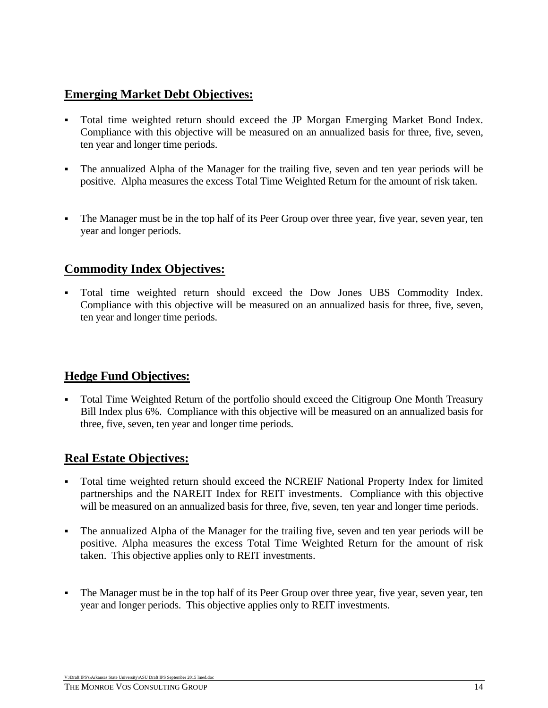## **Emerging Market Debt Objectives:**

- Total time weighted return should exceed the JP Morgan Emerging Market Bond Index. Compliance with this objective will be measured on an annualized basis for three, five, seven, ten year and longer time periods.
- The annualized Alpha of the Manager for the trailing five, seven and ten year periods will be positive. Alpha measures the excess Total Time Weighted Return for the amount of risk taken.
- The Manager must be in the top half of its Peer Group over three year, five year, seven year, ten year and longer periods.

## **Commodity Index Objectives:**

 Total time weighted return should exceed the Dow Jones UBS Commodity Index. Compliance with this objective will be measured on an annualized basis for three, five, seven, ten year and longer time periods.

# **Hedge Fund Objectives:**

 Total Time Weighted Return of the portfolio should exceed the Citigroup One Month Treasury Bill Index plus 6%. Compliance with this objective will be measured on an annualized basis for three, five, seven, ten year and longer time periods.

# **Real Estate Objectives:**

- Total time weighted return should exceed the NCREIF National Property Index for limited partnerships and the NAREIT Index for REIT investments. Compliance with this objective will be measured on an annualized basis for three, five, seven, ten year and longer time periods.
- The annualized Alpha of the Manager for the trailing five, seven and ten year periods will be positive. Alpha measures the excess Total Time Weighted Return for the amount of risk taken. This objective applies only to REIT investments.
- The Manager must be in the top half of its Peer Group over three year, five year, seven year, ten year and longer periods. This objective applies only to REIT investments.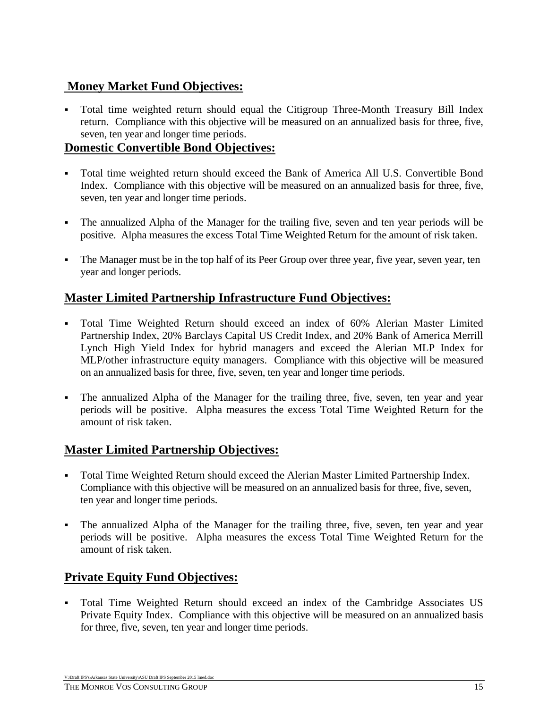# **Money Market Fund Objectives:**

 Total time weighted return should equal the Citigroup Three-Month Treasury Bill Index return. Compliance with this objective will be measured on an annualized basis for three, five, seven, ten year and longer time periods.

#### **Domestic Convertible Bond Objectives:**

- Total time weighted return should exceed the Bank of America All U.S. Convertible Bond Index. Compliance with this objective will be measured on an annualized basis for three, five, seven, ten year and longer time periods.
- The annualized Alpha of the Manager for the trailing five, seven and ten year periods will be positive. Alpha measures the excess Total Time Weighted Return for the amount of risk taken.
- The Manager must be in the top half of its Peer Group over three year, five year, seven year, ten year and longer periods.

## **Master Limited Partnership Infrastructure Fund Objectives:**

- Total Time Weighted Return should exceed an index of 60% Alerian Master Limited Partnership Index, 20% Barclays Capital US Credit Index, and 20% Bank of America Merrill Lynch High Yield Index for hybrid managers and exceed the Alerian MLP Index for MLP/other infrastructure equity managers. Compliance with this objective will be measured on an annualized basis for three, five, seven, ten year and longer time periods.
- The annualized Alpha of the Manager for the trailing three, five, seven, ten year and year periods will be positive. Alpha measures the excess Total Time Weighted Return for the amount of risk taken.

### **Master Limited Partnership Objectives:**

- Total Time Weighted Return should exceed the Alerian Master Limited Partnership Index. Compliance with this objective will be measured on an annualized basis for three, five, seven, ten year and longer time periods.
- The annualized Alpha of the Manager for the trailing three, five, seven, ten year and year periods will be positive. Alpha measures the excess Total Time Weighted Return for the amount of risk taken.

# **Private Equity Fund Objectives:**

 Total Time Weighted Return should exceed an index of the Cambridge Associates US Private Equity Index. Compliance with this objective will be measured on an annualized basis for three, five, seven, ten year and longer time periods.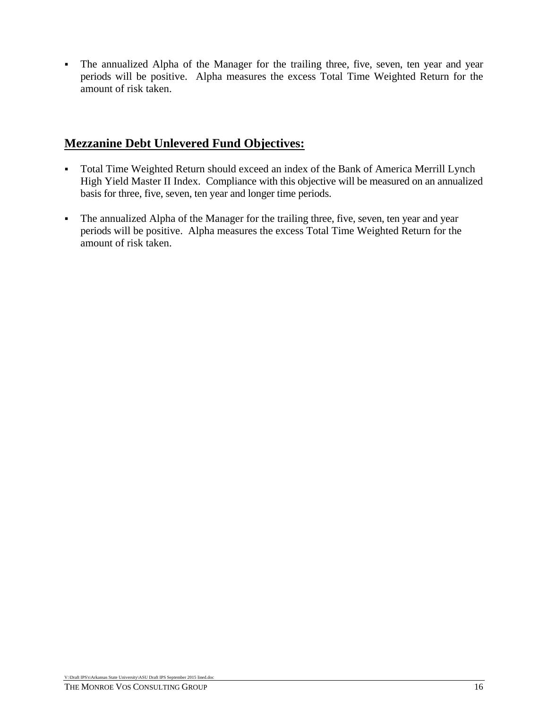The annualized Alpha of the Manager for the trailing three, five, seven, ten year and year periods will be positive. Alpha measures the excess Total Time Weighted Return for the amount of risk taken.

## **Mezzanine Debt Unlevered Fund Objectives:**

- Total Time Weighted Return should exceed an index of the Bank of America Merrill Lynch High Yield Master II Index. Compliance with this objective will be measured on an annualized basis for three, five, seven, ten year and longer time periods.
- The annualized Alpha of the Manager for the trailing three, five, seven, ten year and year periods will be positive. Alpha measures the excess Total Time Weighted Return for the amount of risk taken.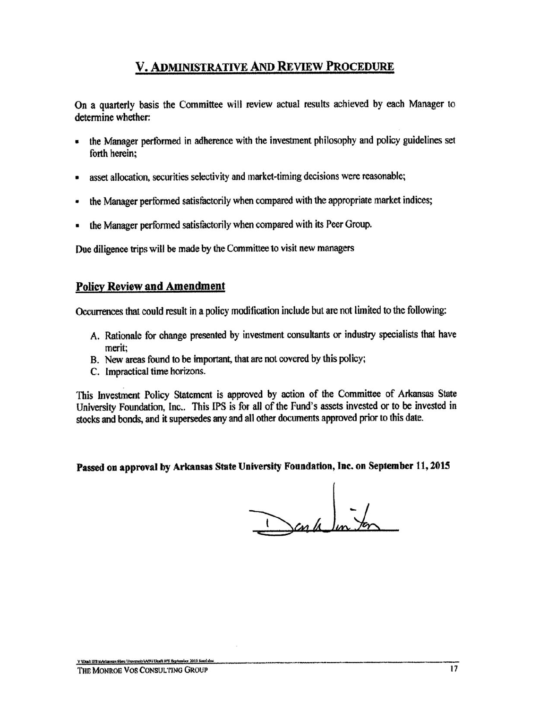# V. ADMINISTRATIVE AND REVIEW PROCEDURE

On a quarterly basis the Committee will review actual results achieved by each Manager to determine whether:

- the Manager performed in adherence with the investment philosophy and policy guidelines set  $\blacksquare$ forth herein;
- asset allocation, securities selectivity and market-timing decisions were reasonable;  $\bullet$
- the Manager performed satisfactorily when compared with the appropriate market indices; ٠
- the Manager performed satisfactorily when compared with its Peer Group.

Due diligence trips will be made by the Committee to visit new managers

#### **Policy Review and Amendment**

Occurrences that could result in a policy modification include but are not limited to the following:

- A. Rationale for change presented by investment consultants or industry specialists that have merit:
- B. New areas found to be important, that are not covered by this policy;
- C. Impractical time horizons.

This Investment Policy Statement is approved by action of the Committee of Arkansas State University Foundation, Inc.. This IPS is for all of the Fund's assets invested or to be invested in stocks and bonds, and it supersedes any and all other documents approved prior to this date.

Passed on approval by Arkansas State University Foundation, Inc. on September 11, 2015

Cap le un for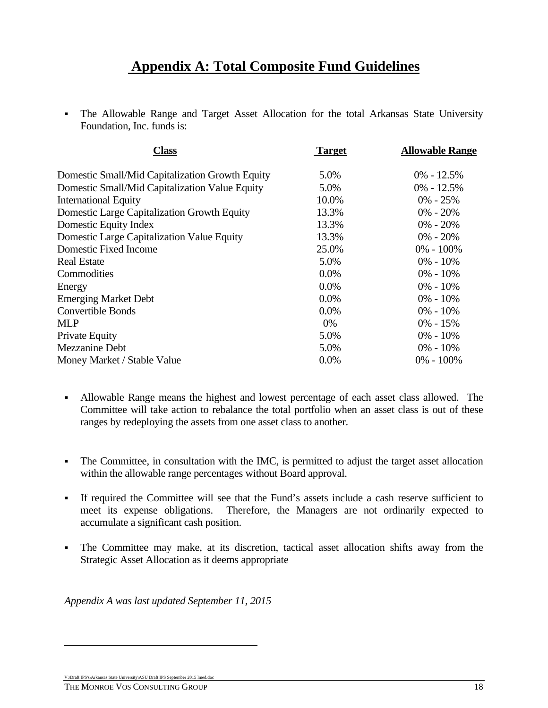# **Appendix A: Total Composite Fund Guidelines**

 The Allowable Range and Target Asset Allocation for the total Arkansas State University Foundation, Inc. funds is:

| <b>Class</b>                                    | <b>Target</b> | <b>Allowable Range</b><br>$0\% - 12.5\%$ |
|-------------------------------------------------|---------------|------------------------------------------|
| Domestic Small/Mid Capitalization Growth Equity | 5.0%          |                                          |
| Domestic Small/Mid Capitalization Value Equity  | 5.0%          | $0\% - 12.5\%$                           |
| <b>International Equity</b>                     | 10.0%         | $0\% - 25\%$                             |
| Domestic Large Capitalization Growth Equity     | 13.3%         | $0\% - 20\%$                             |
| Domestic Equity Index                           | 13.3%         | $0\% - 20\%$                             |
| Domestic Large Capitalization Value Equity      | 13.3%         | $0\% - 20\%$                             |
| Domestic Fixed Income                           | 25.0%         | $0\% - 100\%$                            |
| <b>Real Estate</b>                              | 5.0%          | $0\% - 10\%$                             |
| Commodities                                     | 0.0%          | $0\% - 10\%$                             |
| Energy                                          | 0.0%          | $0\% - 10\%$                             |
| <b>Emerging Market Debt</b>                     | 0.0%          | $0\% - 10\%$                             |
| <b>Convertible Bonds</b>                        | 0.0%          | $0\% - 10\%$                             |
| <b>MLP</b>                                      | 0%            | $0\% - 15\%$                             |
| Private Equity                                  | 5.0%          | $0\% - 10\%$                             |
| Mezzanine Debt                                  | 5.0%          | $0\% - 10\%$                             |
| Money Market / Stable Value                     | 0.0%          | $0\% - 100\%$                            |

- Allowable Range means the highest and lowest percentage of each asset class allowed. The Committee will take action to rebalance the total portfolio when an asset class is out of these ranges by redeploying the assets from one asset class to another.
- The Committee, in consultation with the IMC, is permitted to adjust the target asset allocation within the allowable range percentages without Board approval.
- If required the Committee will see that the Fund's assets include a cash reserve sufficient to meet its expense obligations. Therefore, the Managers are not ordinarily expected to accumulate a significant cash position.
- The Committee may make, at its discretion, tactical asset allocation shifts away from the Strategic Asset Allocation as it deems appropriate

*Appendix A was last updated September 11, 2015* 

V:\Draft IPS's\Arkansas State University\ASU Draft IPS September 2015 lined.doc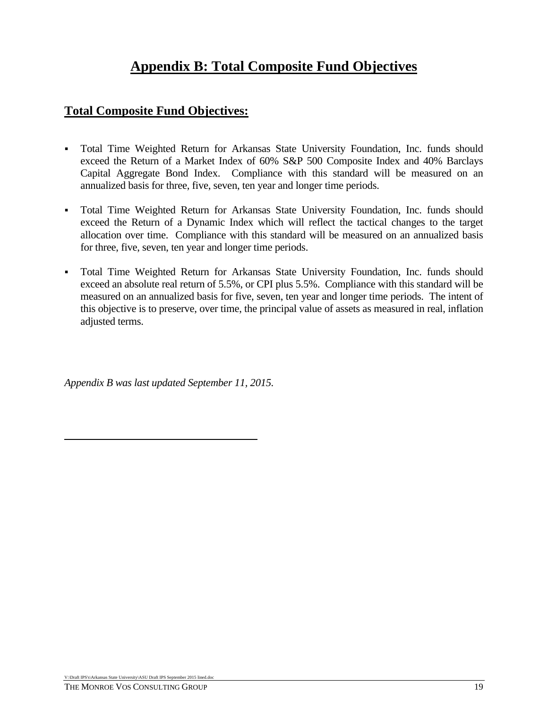# **Appendix B: Total Composite Fund Objectives**

### **Total Composite Fund Objectives:**

- Total Time Weighted Return for Arkansas State University Foundation, Inc. funds should exceed the Return of a Market Index of 60% S&P 500 Composite Index and 40% Barclays Capital Aggregate Bond Index. Compliance with this standard will be measured on an annualized basis for three, five, seven, ten year and longer time periods.
- Total Time Weighted Return for Arkansas State University Foundation, Inc. funds should exceed the Return of a Dynamic Index which will reflect the tactical changes to the target allocation over time. Compliance with this standard will be measured on an annualized basis for three, five, seven, ten year and longer time periods.
- Total Time Weighted Return for Arkansas State University Foundation, Inc. funds should exceed an absolute real return of 5.5%, or CPI plus 5.5%. Compliance with this standard will be measured on an annualized basis for five, seven, ten year and longer time periods. The intent of this objective is to preserve, over time, the principal value of assets as measured in real, inflation adjusted terms.

*Appendix B was last updated September 11, 2015.*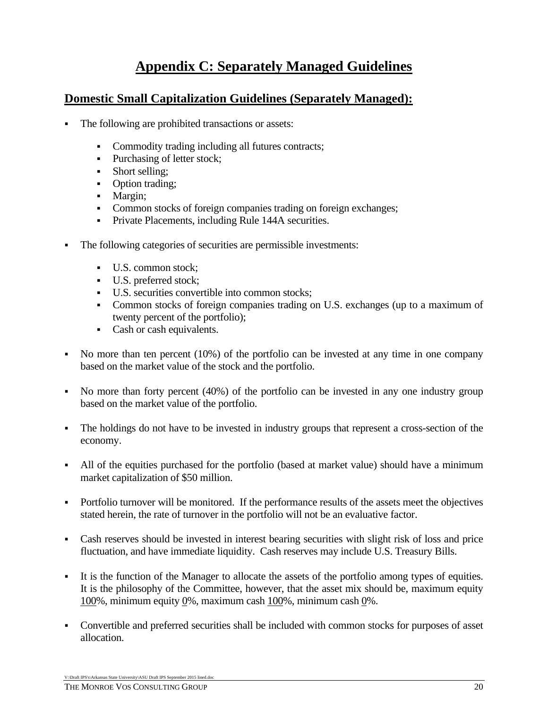# **Appendix C: Separately Managed Guidelines**

#### **Domestic Small Capitalization Guidelines (Separately Managed):**

- The following are prohibited transactions or assets:
	- Commodity trading including all futures contracts;
	- Purchasing of letter stock;
	- Short selling;
	- Option trading;
	- Margin;
	- Common stocks of foreign companies trading on foreign exchanges;
	- **Private Placements, including Rule 144A securities.**
- The following categories of securities are permissible investments:
	- U.S. common stock;
	- U.S. preferred stock;
	- U.S. securities convertible into common stocks;
	- Common stocks of foreign companies trading on U.S. exchanges (up to a maximum of twenty percent of the portfolio);
	- Cash or cash equivalents.
- No more than ten percent (10%) of the portfolio can be invested at any time in one company based on the market value of the stock and the portfolio.
- No more than forty percent (40%) of the portfolio can be invested in any one industry group based on the market value of the portfolio.
- The holdings do not have to be invested in industry groups that represent a cross-section of the economy.
- All of the equities purchased for the portfolio (based at market value) should have a minimum market capitalization of \$50 million.
- Portfolio turnover will be monitored. If the performance results of the assets meet the objectives stated herein, the rate of turnover in the portfolio will not be an evaluative factor.
- Cash reserves should be invested in interest bearing securities with slight risk of loss and price fluctuation, and have immediate liquidity. Cash reserves may include U.S. Treasury Bills.
- It is the function of the Manager to allocate the assets of the portfolio among types of equities. It is the philosophy of the Committee, however, that the asset mix should be, maximum equity 100%, minimum equity 0%, maximum cash 100%, minimum cash 0%.
- Convertible and preferred securities shall be included with common stocks for purposes of asset allocation.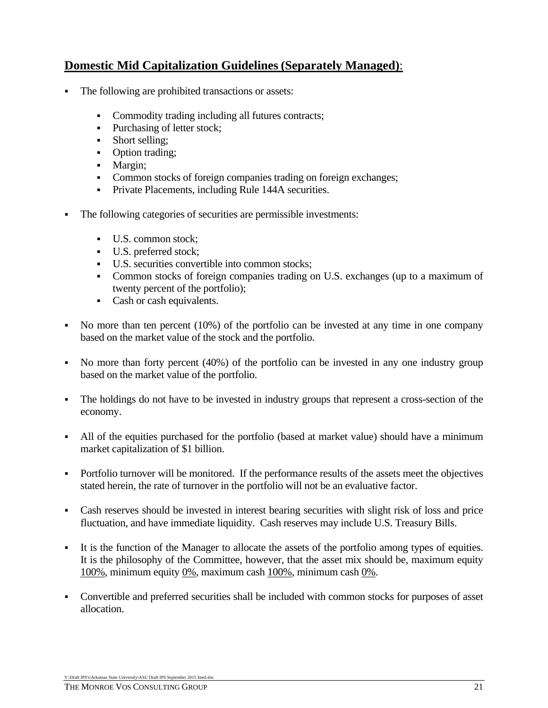# **Domestic Mid Capitalization Guidelines (Separately Managed)**:

- The following are prohibited transactions or assets:
	- Commodity trading including all futures contracts;
	- Purchasing of letter stock;
	- Short selling;
	- Option trading;
	- Margin;
	- Common stocks of foreign companies trading on foreign exchanges;
	- **Private Placements, including Rule 144A securities.**
- The following categories of securities are permissible investments:
	- U.S. common stock;
	- U.S. preferred stock;
	- U.S. securities convertible into common stocks;
	- Common stocks of foreign companies trading on U.S. exchanges (up to a maximum of twenty percent of the portfolio);
	- Cash or cash equivalents.
- No more than ten percent (10%) of the portfolio can be invested at any time in one company based on the market value of the stock and the portfolio.
- No more than forty percent (40%) of the portfolio can be invested in any one industry group based on the market value of the portfolio.
- The holdings do not have to be invested in industry groups that represent a cross-section of the economy.
- All of the equities purchased for the portfolio (based at market value) should have a minimum market capitalization of \$1 billion.
- Portfolio turnover will be monitored. If the performance results of the assets meet the objectives stated herein, the rate of turnover in the portfolio will not be an evaluative factor.
- Cash reserves should be invested in interest bearing securities with slight risk of loss and price fluctuation, and have immediate liquidity. Cash reserves may include U.S. Treasury Bills.
- It is the function of the Manager to allocate the assets of the portfolio among types of equities. It is the philosophy of the Committee, however, that the asset mix should be, maximum equity 100%, minimum equity 0%, maximum cash 100%, minimum cash 0%.
- Convertible and preferred securities shall be included with common stocks for purposes of asset allocation.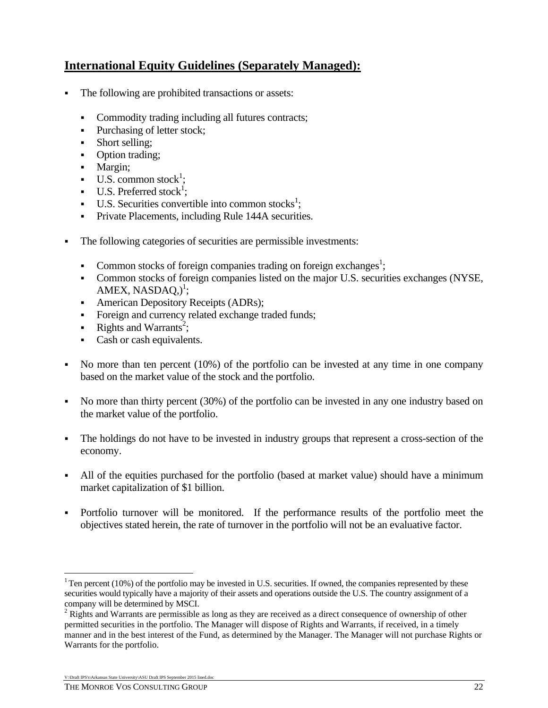# **International Equity Guidelines (Separately Managed):**

- The following are prohibited transactions or assets:
	- Commodity trading including all futures contracts;
	- Purchasing of letter stock;
	- Short selling;
	- Option trading;
	- Margin;
	- $\bullet$  U.S. common stock<sup>1</sup>;
	- $\blacksquare$  U.S. Preferred stock<sup>1</sup>;
	- $\blacksquare$  U.S. Securities convertible into common stocks<sup>1</sup>;
	- **Private Placements, including Rule 144A securities.**
- The following categories of securities are permissible investments:
	- Common stocks of foreign companies trading on foreign exchanges<sup>1</sup>;
	- Common stocks of foreign companies listed on the major U.S. securities exchanges (NYSE,  $AMEX, NASDAQ,)$ <sup>1</sup>;
	- American Depository Receipts (ADRs);
	- Foreign and currency related exchange traded funds;
	- Exercise Rights and Warrants<sup>2</sup>;
	- Cash or cash equivalents.
- No more than ten percent (10%) of the portfolio can be invested at any time in one company based on the market value of the stock and the portfolio.
- No more than thirty percent (30%) of the portfolio can be invested in any one industry based on the market value of the portfolio.
- The holdings do not have to be invested in industry groups that represent a cross-section of the economy.
- All of the equities purchased for the portfolio (based at market value) should have a minimum market capitalization of \$1 billion.
- Portfolio turnover will be monitored. If the performance results of the portfolio meet the objectives stated herein, the rate of turnover in the portfolio will not be an evaluative factor.

 $\overline{a}$ 

<sup>&</sup>lt;sup>1</sup> Ten percent (10%) of the portfolio may be invested in U.S. securities. If owned, the companies represented by these securities would typically have a majority of their assets and operations outside the U.S. The country assignment of a company will be determined by MSCI.

 $2$  Rights and Warrants are permissible as long as they are received as a direct consequence of ownership of other permitted securities in the portfolio. The Manager will dispose of Rights and Warrants, if received, in a timely manner and in the best interest of the Fund, as determined by the Manager. The Manager will not purchase Rights or Warrants for the portfolio.

V:\Draft IPS's\Arkansas State University\ASU Draft IPS September 2015 lined.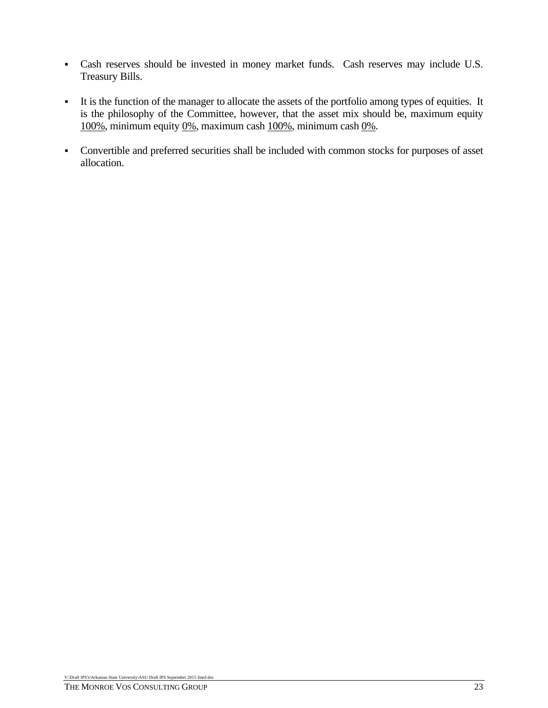- Cash reserves should be invested in money market funds. Cash reserves may include U.S. Treasury Bills.
- It is the function of the manager to allocate the assets of the portfolio among types of equities. It is the philosophy of the Committee, however, that the asset mix should be, maximum equity 100%, minimum equity 0%, maximum cash 100%, minimum cash 0%.
- Convertible and preferred securities shall be included with common stocks for purposes of asset allocation.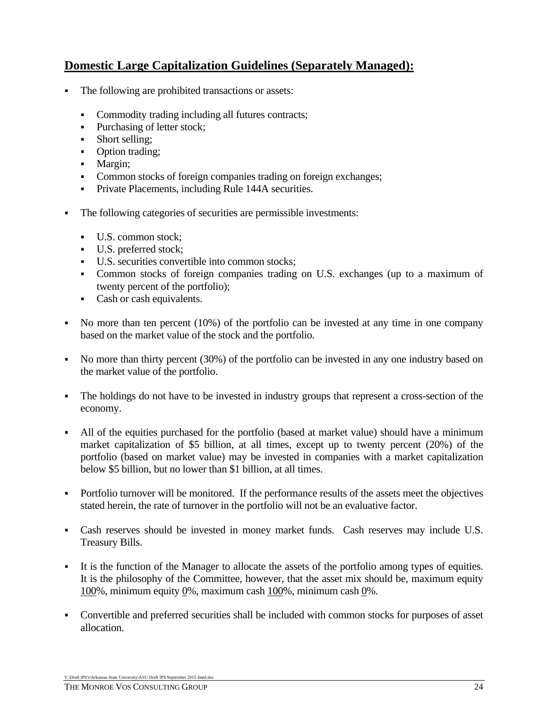# **Domestic Large Capitalization Guidelines (Separately Managed):**

- The following are prohibited transactions or assets:
	- Commodity trading including all futures contracts;
	- Purchasing of letter stock;
	- Short selling:
	- Option trading;
	- Margin;
	- Common stocks of foreign companies trading on foreign exchanges;
	- **Private Placements, including Rule 144A securities.**
- The following categories of securities are permissible investments:
	- U.S. common stock;
	- U.S. preferred stock;
	- U.S. securities convertible into common stocks;
	- Common stocks of foreign companies trading on U.S. exchanges (up to a maximum of twenty percent of the portfolio);
	- Cash or cash equivalents.
- No more than ten percent (10%) of the portfolio can be invested at any time in one company based on the market value of the stock and the portfolio.
- No more than thirty percent (30%) of the portfolio can be invested in any one industry based on the market value of the portfolio.
- The holdings do not have to be invested in industry groups that represent a cross-section of the economy.
- All of the equities purchased for the portfolio (based at market value) should have a minimum market capitalization of \$5 billion, at all times, except up to twenty percent (20%) of the portfolio (based on market value) may be invested in companies with a market capitalization below \$5 billion, but no lower than \$1 billion, at all times.
- Portfolio turnover will be monitored. If the performance results of the assets meet the objectives stated herein, the rate of turnover in the portfolio will not be an evaluative factor.
- Cash reserves should be invested in money market funds. Cash reserves may include U.S. Treasury Bills.
- It is the function of the Manager to allocate the assets of the portfolio among types of equities. It is the philosophy of the Committee, however, that the asset mix should be, maximum equity 100%, minimum equity 0%, maximum cash 100%, minimum cash 0%.
- Convertible and preferred securities shall be included with common stocks for purposes of asset allocation.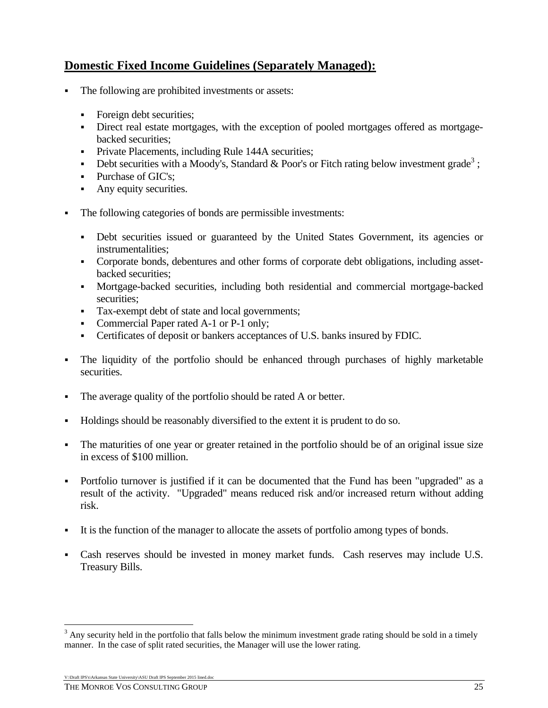# **Domestic Fixed Income Guidelines (Separately Managed):**

- The following are prohibited investments or assets:
	- Foreign debt securities;
	- Direct real estate mortgages, with the exception of pooled mortgages offered as mortgagebacked securities;
	- **Private Placements, including Rule 144A securities;**
	- Debt securities with a Moody's, Standard & Poor's or Fitch rating below investment grade<sup>3</sup>;
	- Purchase of GIC's;
	- Any equity securities.
- The following categories of bonds are permissible investments:
	- Debt securities issued or guaranteed by the United States Government, its agencies or instrumentalities;
	- Corporate bonds, debentures and other forms of corporate debt obligations, including assetbacked securities;
	- Mortgage-backed securities, including both residential and commercial mortgage-backed securities;
	- Tax-exempt debt of state and local governments;
	- Commercial Paper rated A-1 or P-1 only;
	- Certificates of deposit or bankers acceptances of U.S. banks insured by FDIC.
- The liquidity of the portfolio should be enhanced through purchases of highly marketable securities.
- The average quality of the portfolio should be rated A or better.
- Holdings should be reasonably diversified to the extent it is prudent to do so.
- The maturities of one year or greater retained in the portfolio should be of an original issue size in excess of \$100 million.
- Portfolio turnover is justified if it can be documented that the Fund has been "upgraded" as a result of the activity. "Upgraded" means reduced risk and/or increased return without adding risk.
- It is the function of the manager to allocate the assets of portfolio among types of bonds.
- Cash reserves should be invested in money market funds. Cash reserves may include U.S. Treasury Bills.

V:\Draft IPS's\Arkansas State University\ASU Draft IPS September 2015 lined.doc

 $\overline{a}$ 

 $3$  Any security held in the portfolio that falls below the minimum investment grade rating should be sold in a timely manner. In the case of split rated securities, the Manager will use the lower rating.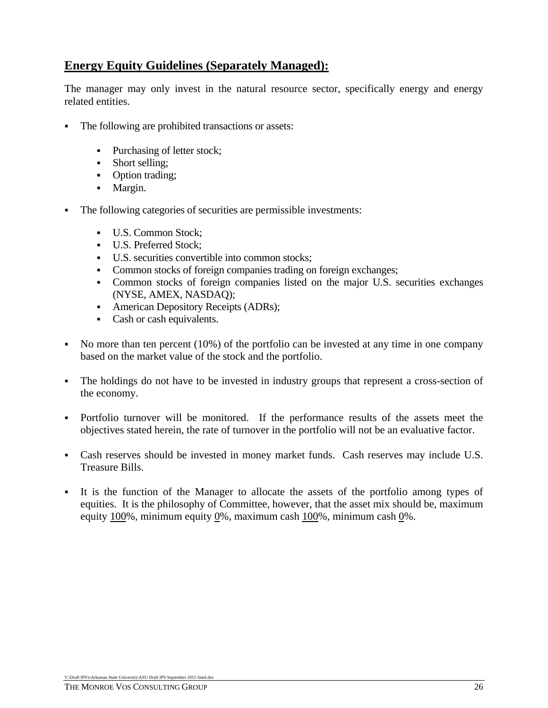# **Energy Equity Guidelines (Separately Managed):**

The manager may only invest in the natural resource sector, specifically energy and energy related entities.

- The following are prohibited transactions or assets:
	- Purchasing of letter stock;
	- Short selling;
	- Option trading;
	- Margin.
- The following categories of securities are permissible investments:
	- U.S. Common Stock;
	- U.S. Preferred Stock:
	- U.S. securities convertible into common stocks;
	- Common stocks of foreign companies trading on foreign exchanges;
	- Common stocks of foreign companies listed on the major U.S. securities exchanges (NYSE, AMEX, NASDAQ);
	- American Depository Receipts (ADRs);
	- Cash or cash equivalents.
- No more than ten percent  $(10\%)$  of the portfolio can be invested at any time in one company based on the market value of the stock and the portfolio.
- The holdings do not have to be invested in industry groups that represent a cross-section of the economy.
- Portfolio turnover will be monitored. If the performance results of the assets meet the objectives stated herein, the rate of turnover in the portfolio will not be an evaluative factor.
- Cash reserves should be invested in money market funds. Cash reserves may include U.S. Treasure Bills.
- It is the function of the Manager to allocate the assets of the portfolio among types of equities. It is the philosophy of Committee, however, that the asset mix should be, maximum equity 100%, minimum equity 0%, maximum cash 100%, minimum cash 0%.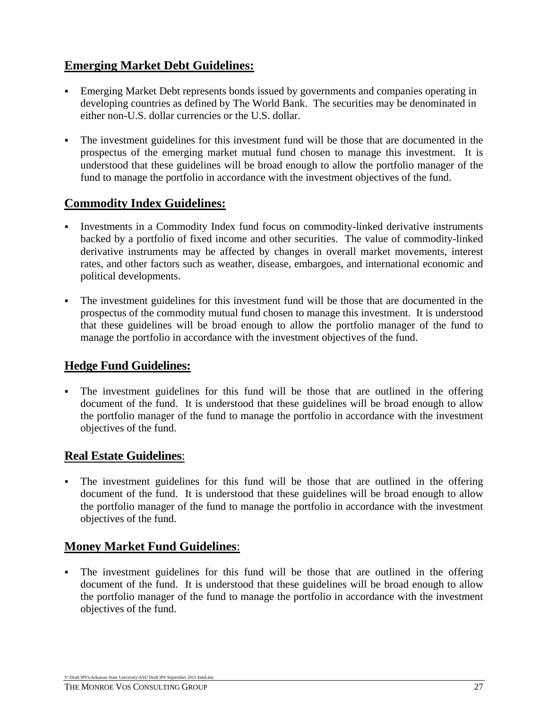# **Emerging Market Debt Guidelines:**

- Emerging Market Debt represents bonds issued by governments and companies operating in developing countries as defined by The World Bank. The securities may be denominated in either non-U.S. dollar currencies or the U.S. dollar.
- The investment guidelines for this investment fund will be those that are documented in the prospectus of the emerging market mutual fund chosen to manage this investment. It is understood that these guidelines will be broad enough to allow the portfolio manager of the fund to manage the portfolio in accordance with the investment objectives of the fund.

# **Commodity Index Guidelines:**

- Investments in a Commodity Index fund focus on commodity-linked derivative instruments backed by a portfolio of fixed income and other securities. The value of commodity-linked derivative instruments may be affected by changes in overall market movements, interest rates, and other factors such as weather, disease, embargoes, and international economic and political developments.
- The investment guidelines for this investment fund will be those that are documented in the prospectus of the commodity mutual fund chosen to manage this investment. It is understood that these guidelines will be broad enough to allow the portfolio manager of the fund to manage the portfolio in accordance with the investment objectives of the fund.

# **Hedge Fund Guidelines:**

 The investment guidelines for this fund will be those that are outlined in the offering document of the fund. It is understood that these guidelines will be broad enough to allow the portfolio manager of the fund to manage the portfolio in accordance with the investment objectives of the fund.

# **Real Estate Guidelines**:

 The investment guidelines for this fund will be those that are outlined in the offering document of the fund. It is understood that these guidelines will be broad enough to allow the portfolio manager of the fund to manage the portfolio in accordance with the investment objectives of the fund.

### **Money Market Fund Guidelines**:

 The investment guidelines for this fund will be those that are outlined in the offering document of the fund. It is understood that these guidelines will be broad enough to allow the portfolio manager of the fund to manage the portfolio in accordance with the investment objectives of the fund.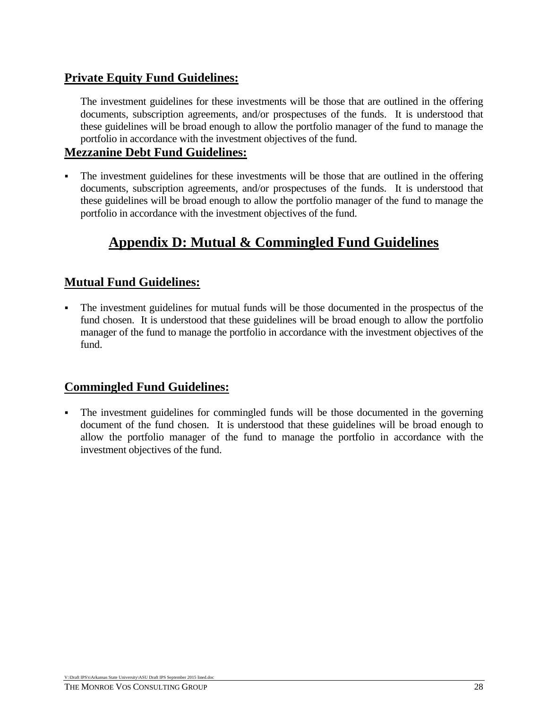# **Private Equity Fund Guidelines:**

The investment guidelines for these investments will be those that are outlined in the offering documents, subscription agreements, and/or prospectuses of the funds. It is understood that these guidelines will be broad enough to allow the portfolio manager of the fund to manage the portfolio in accordance with the investment objectives of the fund.

### **Mezzanine Debt Fund Guidelines:**

 The investment guidelines for these investments will be those that are outlined in the offering documents, subscription agreements, and/or prospectuses of the funds. It is understood that these guidelines will be broad enough to allow the portfolio manager of the fund to manage the portfolio in accordance with the investment objectives of the fund.

# **Appendix D: Mutual & Commingled Fund Guidelines**

# **Mutual Fund Guidelines:**

 The investment guidelines for mutual funds will be those documented in the prospectus of the fund chosen. It is understood that these guidelines will be broad enough to allow the portfolio manager of the fund to manage the portfolio in accordance with the investment objectives of the fund.

# **Commingled Fund Guidelines:**

 The investment guidelines for commingled funds will be those documented in the governing document of the fund chosen. It is understood that these guidelines will be broad enough to allow the portfolio manager of the fund to manage the portfolio in accordance with the investment objectives of the fund.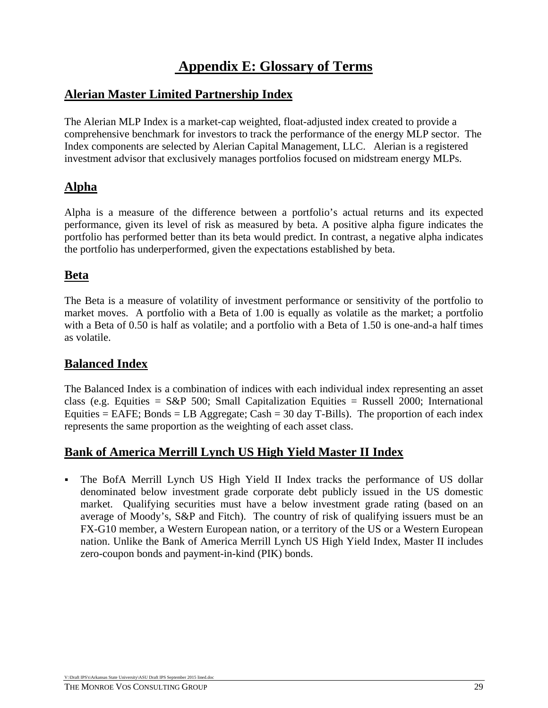# **Appendix E: Glossary of Terms**

### **Alerian Master Limited Partnership Index**

The Alerian MLP Index is a market-cap weighted, float-adjusted index created to provide a comprehensive benchmark for investors to track the performance of the energy MLP sector. The Index components are selected by Alerian Capital Management, LLC. Alerian is a registered investment advisor that exclusively manages portfolios focused on midstream energy MLPs.

### **Alpha**

Alpha is a measure of the difference between a portfolio's actual returns and its expected performance, given its level of risk as measured by beta. A positive alpha figure indicates the portfolio has performed better than its beta would predict. In contrast, a negative alpha indicates the portfolio has underperformed, given the expectations established by beta.

### **Beta**

The Beta is a measure of volatility of investment performance or sensitivity of the portfolio to market moves. A portfolio with a Beta of 1.00 is equally as volatile as the market; a portfolio with a Beta of 0.50 is half as volatile; and a portfolio with a Beta of 1.50 is one-and-a half times as volatile.

# **Balanced Index**

The Balanced Index is a combination of indices with each individual index representing an asset class (e.g. Equities =  $S\&P$  500; Small Capitalization Equities = Russell 2000; International Equities  $=$  EAFE; Bonds  $=$  LB Aggregate; Cash  $=$  30 day T-Bills). The proportion of each index represents the same proportion as the weighting of each asset class.

# **Bank of America Merrill Lynch US High Yield Master II Index**

 The BofA Merrill Lynch US High Yield II Index tracks the performance of US dollar denominated below investment grade corporate debt publicly issued in the US domestic market. Qualifying securities must have a below investment grade rating (based on an average of Moody's, S&P and Fitch). The country of risk of qualifying issuers must be an FX-G10 member, a Western European nation, or a territory of the US or a Western European nation. Unlike the Bank of America Merrill Lynch US High Yield Index, Master II includes zero-coupon bonds and payment-in-kind (PIK) bonds.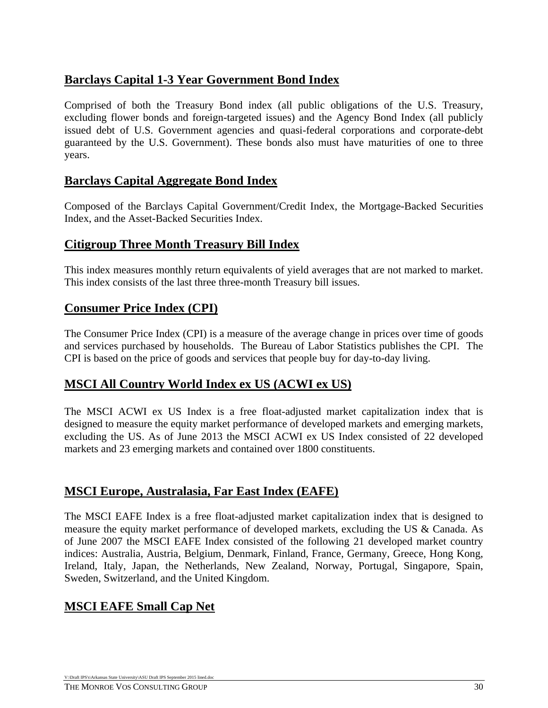# **Barclays Capital 1-3 Year Government Bond Index**

Comprised of both the Treasury Bond index (all public obligations of the U.S. Treasury, excluding flower bonds and foreign-targeted issues) and the Agency Bond Index (all publicly issued debt of U.S. Government agencies and quasi-federal corporations and corporate-debt guaranteed by the U.S. Government). These bonds also must have maturities of one to three years.

### **Barclays Capital Aggregate Bond Index**

Composed of the Barclays Capital Government/Credit Index, the Mortgage-Backed Securities Index, and the Asset-Backed Securities Index.

#### **Citigroup Three Month Treasury Bill Index**

This index measures monthly return equivalents of yield averages that are not marked to market. This index consists of the last three three-month Treasury bill issues.

### **Consumer Price Index (CPI)**

The Consumer Price Index (CPI) is a measure of the average change in prices over time of goods and services purchased by households. The Bureau of Labor Statistics publishes the CPI. The CPI is based on the price of goods and services that people buy for day-to-day living.

### **MSCI All Country World Index ex US (ACWI ex US)**

The MSCI ACWI ex US Index is a free float-adjusted market capitalization index that is designed to measure the equity market performance of developed markets and emerging markets, excluding the US. As of June 2013 the MSCI ACWI ex US Index consisted of 22 developed markets and 23 emerging markets and contained over 1800 constituents.

#### **MSCI Europe, Australasia, Far East Index (EAFE)**

The MSCI EAFE Index is a free float-adjusted market capitalization index that is designed to measure the equity market performance of developed markets, excluding the US & Canada. As of June 2007 the MSCI EAFE Index consisted of the following 21 developed market country indices: Australia, Austria, Belgium, Denmark, Finland, France, Germany, Greece, Hong Kong, Ireland, Italy, Japan, the Netherlands, New Zealand, Norway, Portugal, Singapore, Spain, Sweden, Switzerland, and the United Kingdom.

# **MSCI EAFE Small Cap Net**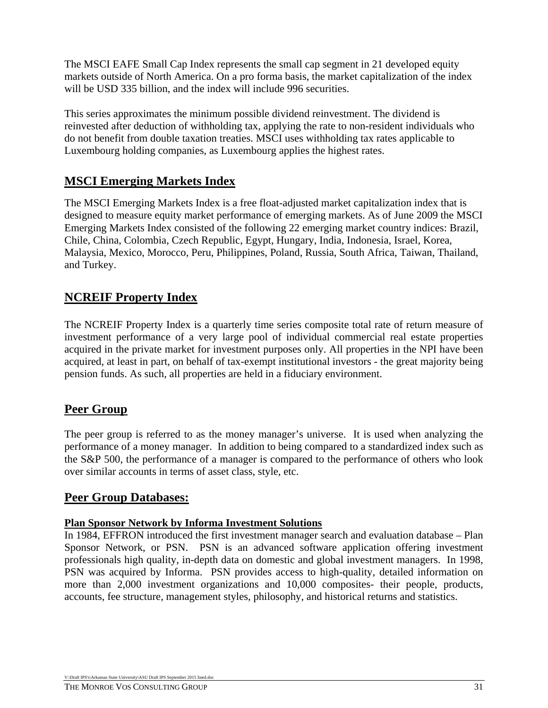The MSCI EAFE Small Cap Index represents the small cap segment in 21 developed equity markets outside of North America. On a pro forma basis, the market capitalization of the index will be USD 335 billion, and the index will include 996 securities.

This series approximates the minimum possible dividend reinvestment. The dividend is reinvested after deduction of withholding tax, applying the rate to non-resident individuals who do not benefit from double taxation treaties. MSCI uses withholding tax rates applicable to Luxembourg holding companies, as Luxembourg applies the highest rates.

# **MSCI Emerging Markets Index**

The MSCI Emerging Markets Index is a free float-adjusted market capitalization index that is designed to measure equity market performance of emerging markets. As of June 2009 the MSCI Emerging Markets Index consisted of the following 22 emerging market country indices: Brazil, Chile, China, Colombia, Czech Republic, Egypt, Hungary, India, Indonesia, Israel, Korea, Malaysia, Mexico, Morocco, Peru, Philippines, Poland, Russia, South Africa, Taiwan, Thailand, and Turkey.

# **NCREIF Property Index**

The NCREIF Property Index is a quarterly time series composite total rate of return measure of investment performance of a very large pool of individual commercial real estate properties acquired in the private market for investment purposes only. All properties in the NPI have been acquired, at least in part, on behalf of tax-exempt institutional investors - the great majority being pension funds. As such, all properties are held in a fiduciary environment.

# **Peer Group**

The peer group is referred to as the money manager's universe. It is used when analyzing the performance of a money manager. In addition to being compared to a standardized index such as the S&P 500, the performance of a manager is compared to the performance of others who look over similar accounts in terms of asset class, style, etc.

### **Peer Group Databases:**

#### **Plan Sponsor Network by Informa Investment Solutions**

In 1984, EFFRON introduced the first investment manager search and evaluation database – Plan Sponsor Network, or PSN. PSN is an advanced software application offering investment professionals high quality, in-depth data on domestic and global investment managers. In 1998, PSN was acquired by Informa. PSN provides access to high-quality, detailed information on more than 2,000 investment organizations and 10,000 composites- their people, products, accounts, fee structure, management styles, philosophy, and historical returns and statistics.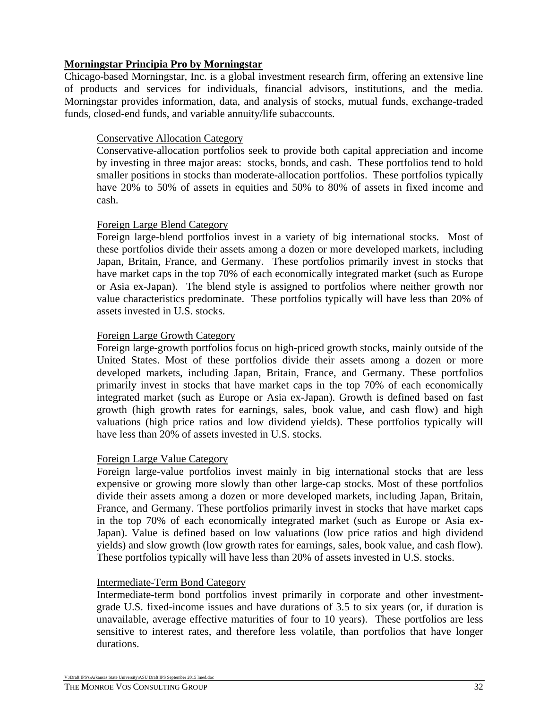#### **Morningstar Principia Pro by Morningstar**

Chicago-based Morningstar, Inc. is a global investment research firm, offering an extensive line of products and services for individuals, financial advisors, institutions, and the media. Morningstar provides information, data, and analysis of stocks, mutual funds, exchange-traded funds, closed-end funds, and variable annuity/life subaccounts.

#### Conservative Allocation Category

Conservative-allocation portfolios seek to provide both capital appreciation and income by investing in three major areas: stocks, bonds, and cash. These portfolios tend to hold smaller positions in stocks than moderate-allocation portfolios. These portfolios typically have 20% to 50% of assets in equities and 50% to 80% of assets in fixed income and cash.

#### Foreign Large Blend Category

Foreign large-blend portfolios invest in a variety of big international stocks. Most of these portfolios divide their assets among a dozen or more developed markets, including Japan, Britain, France, and Germany. These portfolios primarily invest in stocks that have market caps in the top 70% of each economically integrated market (such as Europe or Asia ex-Japan). The blend style is assigned to portfolios where neither growth nor value characteristics predominate. These portfolios typically will have less than 20% of assets invested in U.S. stocks.

#### Foreign Large Growth Category

Foreign large-growth portfolios focus on high-priced growth stocks, mainly outside of the United States. Most of these portfolios divide their assets among a dozen or more developed markets, including Japan, Britain, France, and Germany. These portfolios primarily invest in stocks that have market caps in the top 70% of each economically integrated market (such as Europe or Asia ex-Japan). Growth is defined based on fast growth (high growth rates for earnings, sales, book value, and cash flow) and high valuations (high price ratios and low dividend yields). These portfolios typically will have less than 20% of assets invested in U.S. stocks.

#### Foreign Large Value Category

Foreign large-value portfolios invest mainly in big international stocks that are less expensive or growing more slowly than other large-cap stocks. Most of these portfolios divide their assets among a dozen or more developed markets, including Japan, Britain, France, and Germany. These portfolios primarily invest in stocks that have market caps in the top 70% of each economically integrated market (such as Europe or Asia ex-Japan). Value is defined based on low valuations (low price ratios and high dividend yields) and slow growth (low growth rates for earnings, sales, book value, and cash flow). These portfolios typically will have less than 20% of assets invested in U.S. stocks.

#### Intermediate-Term Bond Category

Intermediate-term bond portfolios invest primarily in corporate and other investmentgrade U.S. fixed-income issues and have durations of 3.5 to six years (or, if duration is unavailable, average effective maturities of four to 10 years). These portfolios are less sensitive to interest rates, and therefore less volatile, than portfolios that have longer durations.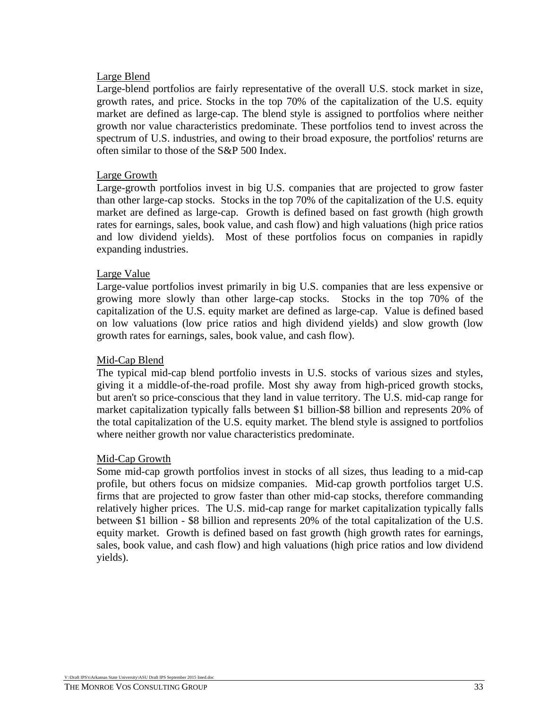#### Large Blend

Large-blend portfolios are fairly representative of the overall U.S. stock market in size, growth rates, and price. Stocks in the top 70% of the capitalization of the U.S. equity market are defined as large-cap. The blend style is assigned to portfolios where neither growth nor value characteristics predominate. These portfolios tend to invest across the spectrum of U.S. industries, and owing to their broad exposure, the portfolios' returns are often similar to those of the S&P 500 Index.

#### Large Growth

Large-growth portfolios invest in big U.S. companies that are projected to grow faster than other large-cap stocks. Stocks in the top 70% of the capitalization of the U.S. equity market are defined as large-cap. Growth is defined based on fast growth (high growth rates for earnings, sales, book value, and cash flow) and high valuations (high price ratios and low dividend yields). Most of these portfolios focus on companies in rapidly expanding industries.

#### Large Value

Large-value portfolios invest primarily in big U.S. companies that are less expensive or growing more slowly than other large-cap stocks. Stocks in the top 70% of the capitalization of the U.S. equity market are defined as large-cap. Value is defined based on low valuations (low price ratios and high dividend yields) and slow growth (low growth rates for earnings, sales, book value, and cash flow).

#### Mid-Cap Blend

The typical mid-cap blend portfolio invests in U.S. stocks of various sizes and styles, giving it a middle-of-the-road profile. Most shy away from high-priced growth stocks, but aren't so price-conscious that they land in value territory. The U.S. mid-cap range for market capitalization typically falls between \$1 billion-\$8 billion and represents 20% of the total capitalization of the U.S. equity market. The blend style is assigned to portfolios where neither growth nor value characteristics predominate.

#### Mid-Cap Growth

Some mid-cap growth portfolios invest in stocks of all sizes, thus leading to a mid-cap profile, but others focus on midsize companies. Mid-cap growth portfolios target U.S. firms that are projected to grow faster than other mid-cap stocks, therefore commanding relatively higher prices. The U.S. mid-cap range for market capitalization typically falls between \$1 billion - \$8 billion and represents 20% of the total capitalization of the U.S. equity market. Growth is defined based on fast growth (high growth rates for earnings, sales, book value, and cash flow) and high valuations (high price ratios and low dividend yields).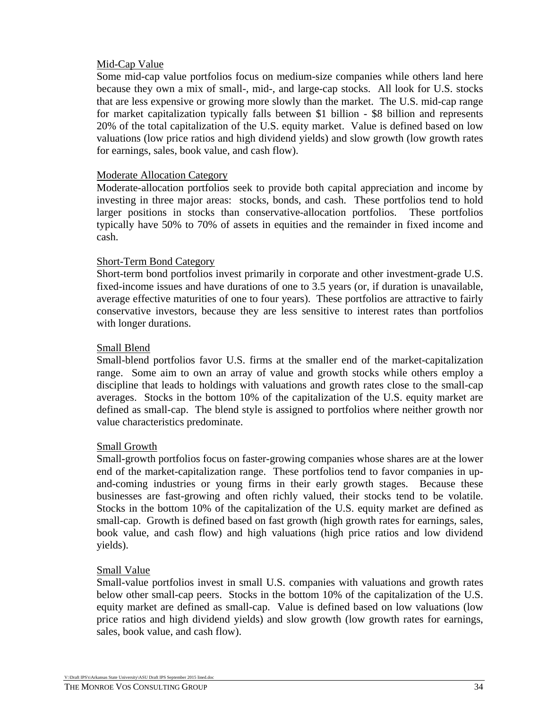#### Mid-Cap Value

Some mid-cap value portfolios focus on medium-size companies while others land here because they own a mix of small-, mid-, and large-cap stocks. All look for U.S. stocks that are less expensive or growing more slowly than the market. The U.S. mid-cap range for market capitalization typically falls between \$1 billion - \$8 billion and represents 20% of the total capitalization of the U.S. equity market. Value is defined based on low valuations (low price ratios and high dividend yields) and slow growth (low growth rates for earnings, sales, book value, and cash flow).

#### Moderate Allocation Category

Moderate-allocation portfolios seek to provide both capital appreciation and income by investing in three major areas: stocks, bonds, and cash. These portfolios tend to hold larger positions in stocks than conservative-allocation portfolios. These portfolios typically have 50% to 70% of assets in equities and the remainder in fixed income and cash.

#### Short-Term Bond Category

Short-term bond portfolios invest primarily in corporate and other investment-grade U.S. fixed-income issues and have durations of one to 3.5 years (or, if duration is unavailable, average effective maturities of one to four years). These portfolios are attractive to fairly conservative investors, because they are less sensitive to interest rates than portfolios with longer durations.

#### Small Blend

Small-blend portfolios favor U.S. firms at the smaller end of the market-capitalization range. Some aim to own an array of value and growth stocks while others employ a discipline that leads to holdings with valuations and growth rates close to the small-cap averages. Stocks in the bottom 10% of the capitalization of the U.S. equity market are defined as small-cap. The blend style is assigned to portfolios where neither growth nor value characteristics predominate.

#### Small Growth

Small-growth portfolios focus on faster-growing companies whose shares are at the lower end of the market-capitalization range. These portfolios tend to favor companies in upand-coming industries or young firms in their early growth stages. Because these businesses are fast-growing and often richly valued, their stocks tend to be volatile. Stocks in the bottom 10% of the capitalization of the U.S. equity market are defined as small-cap. Growth is defined based on fast growth (high growth rates for earnings, sales, book value, and cash flow) and high valuations (high price ratios and low dividend yields).

#### Small Value

Small-value portfolios invest in small U.S. companies with valuations and growth rates below other small-cap peers. Stocks in the bottom 10% of the capitalization of the U.S. equity market are defined as small-cap. Value is defined based on low valuations (low price ratios and high dividend yields) and slow growth (low growth rates for earnings, sales, book value, and cash flow).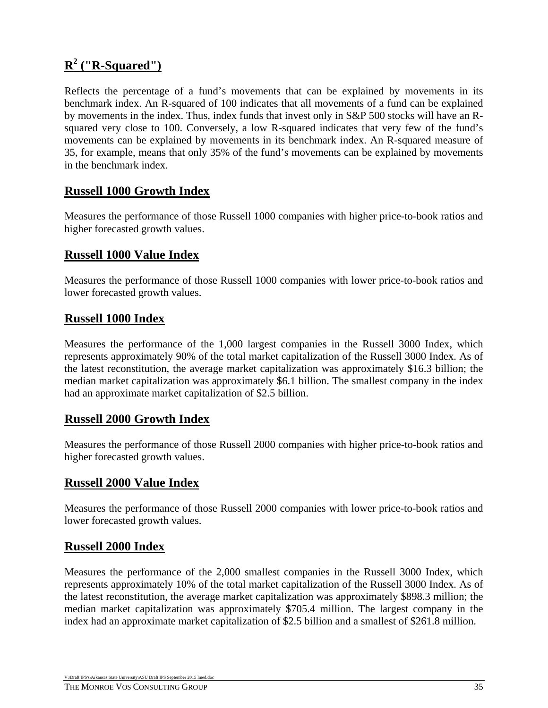# **R2 ("R-Squared")**

Reflects the percentage of a fund's movements that can be explained by movements in its benchmark index. An R-squared of 100 indicates that all movements of a fund can be explained by movements in the index. Thus, index funds that invest only in S&P 500 stocks will have an Rsquared very close to 100. Conversely, a low R-squared indicates that very few of the fund's movements can be explained by movements in its benchmark index. An R-squared measure of 35, for example, means that only 35% of the fund's movements can be explained by movements in the benchmark index.

## **Russell 1000 Growth Index**

Measures the performance of those Russell 1000 companies with higher price-to-book ratios and higher forecasted growth values.

## **Russell 1000 Value Index**

Measures the performance of those Russell 1000 companies with lower price-to-book ratios and lower forecasted growth values.

#### **Russell 1000 Index**

Measures the performance of the 1,000 largest companies in the Russell 3000 Index, which represents approximately 90% of the total market capitalization of the Russell 3000 Index. As of the latest reconstitution, the average market capitalization was approximately \$16.3 billion; the median market capitalization was approximately \$6.1 billion. The smallest company in the index had an approximate market capitalization of \$2.5 billion.

### **Russell 2000 Growth Index**

Measures the performance of those Russell 2000 companies with higher price-to-book ratios and higher forecasted growth values.

#### **Russell 2000 Value Index**

Measures the performance of those Russell 2000 companies with lower price-to-book ratios and lower forecasted growth values.

#### **Russell 2000 Index**

Measures the performance of the 2,000 smallest companies in the Russell 3000 Index, which represents approximately 10% of the total market capitalization of the Russell 3000 Index. As of the latest reconstitution, the average market capitalization was approximately \$898.3 million; the median market capitalization was approximately \$705.4 million. The largest company in the index had an approximate market capitalization of \$2.5 billion and a smallest of \$261.8 million.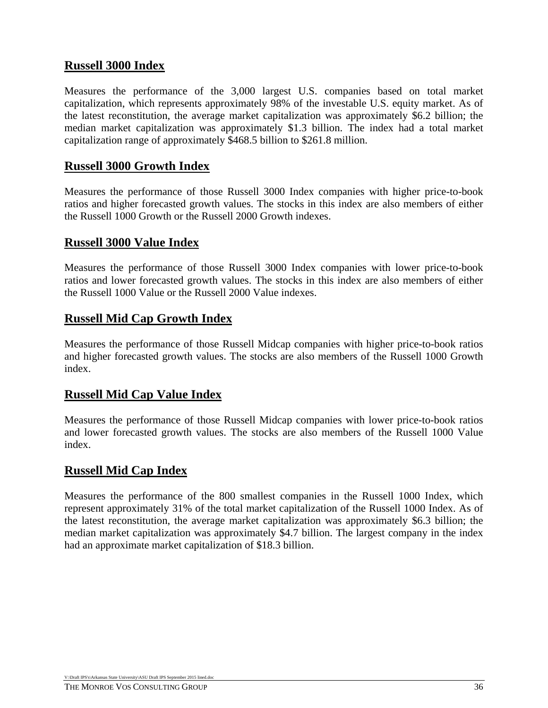## **Russell 3000 Index**

Measures the performance of the 3,000 largest U.S. companies based on total market capitalization, which represents approximately 98% of the investable U.S. equity market. As of the latest reconstitution, the average market capitalization was approximately \$6.2 billion; the median market capitalization was approximately \$1.3 billion. The index had a total market capitalization range of approximately \$468.5 billion to \$261.8 million.

### **Russell 3000 Growth Index**

Measures the performance of those Russell 3000 Index companies with higher price-to-book ratios and higher forecasted growth values. The stocks in this index are also members of either the Russell 1000 Growth or the Russell 2000 Growth indexes.

### **Russell 3000 Value Index**

Measures the performance of those Russell 3000 Index companies with lower price-to-book ratios and lower forecasted growth values. The stocks in this index are also members of either the Russell 1000 Value or the Russell 2000 Value indexes.

### **Russell Mid Cap Growth Index**

Measures the performance of those Russell Midcap companies with higher price-to-book ratios and higher forecasted growth values. The stocks are also members of the Russell 1000 Growth index.

#### **Russell Mid Cap Value Index**

Measures the performance of those Russell Midcap companies with lower price-to-book ratios and lower forecasted growth values. The stocks are also members of the Russell 1000 Value index.

### **Russell Mid Cap Index**

Measures the performance of the 800 smallest companies in the Russell 1000 Index, which represent approximately 31% of the total market capitalization of the Russell 1000 Index. As of the latest reconstitution, the average market capitalization was approximately \$6.3 billion; the median market capitalization was approximately \$4.7 billion. The largest company in the index had an approximate market capitalization of \$18.3 billion.